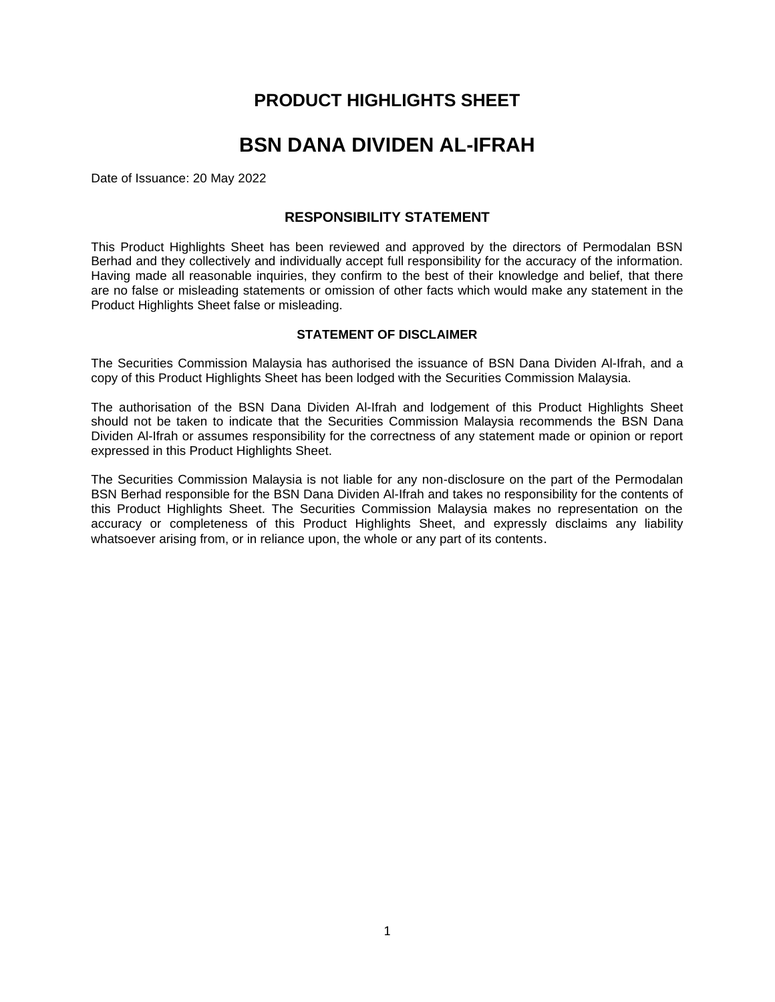# **PRODUCT HIGHLIGHTS SHEET**

# **BSN DANA DIVIDEN AL-IFRAH**

Date of Issuance: 20 May 2022

## **RESPONSIBILITY STATEMENT**

This Product Highlights Sheet has been reviewed and approved by the directors of Permodalan BSN Berhad and they collectively and individually accept full responsibility for the accuracy of the information. Having made all reasonable inquiries, they confirm to the best of their knowledge and belief, that there are no false or misleading statements or omission of other facts which would make any statement in the Product Highlights Sheet false or misleading.

### **STATEMENT OF DISCLAIMER**

The Securities Commission Malaysia has authorised the issuance of BSN Dana Dividen Al-Ifrah, and a copy of this Product Highlights Sheet has been lodged with the Securities Commission Malaysia.

The authorisation of the BSN Dana Dividen Al-Ifrah and lodgement of this Product Highlights Sheet should not be taken to indicate that the Securities Commission Malaysia recommends the BSN Dana Dividen Al-Ifrah or assumes responsibility for the correctness of any statement made or opinion or report expressed in this Product Highlights Sheet.

The Securities Commission Malaysia is not liable for any non-disclosure on the part of the Permodalan BSN Berhad responsible for the BSN Dana Dividen Al-Ifrah and takes no responsibility for the contents of this Product Highlights Sheet. The Securities Commission Malaysia makes no representation on the accuracy or completeness of this Product Highlights Sheet, and expressly disclaims any liability whatsoever arising from, or in reliance upon, the whole or any part of its contents.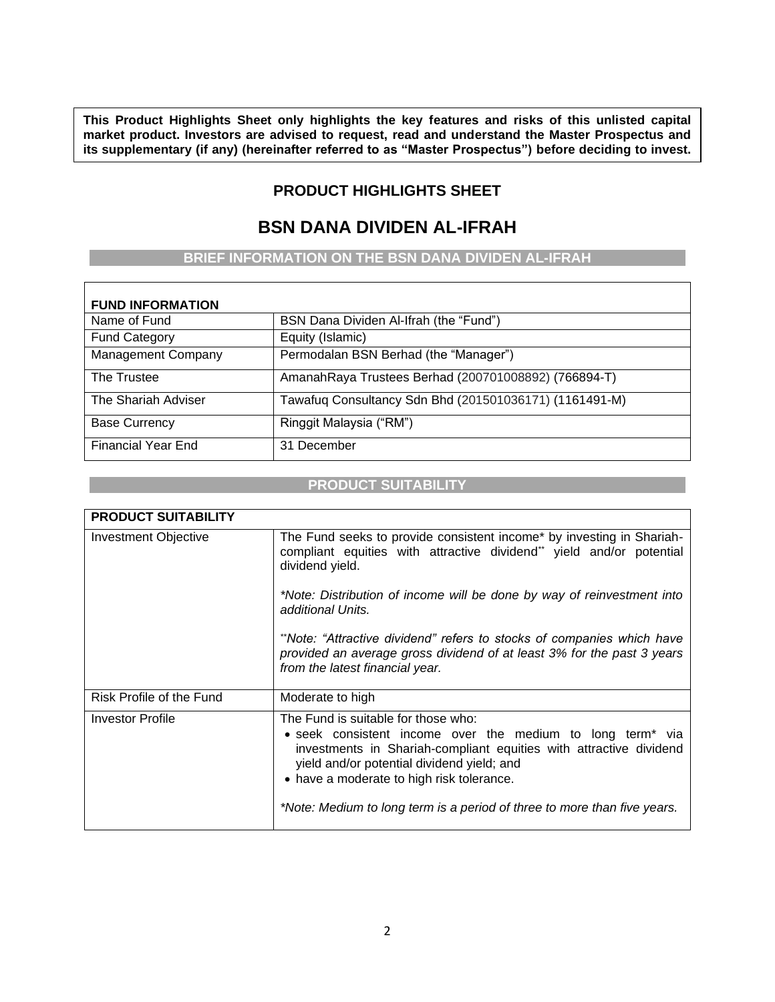**This Product Highlights Sheet only highlights the key features and risks of this unlisted capital market product. Investors are advised to request, read and understand the Master Prospectus and its supplementary (if any) (hereinafter referred to as "Master Prospectus") before deciding to invest.** 

# **PRODUCT HIGHLIGHTS SHEET**

**If doubt, please consult a professional adviser.**

# **BSN DANA DIVIDEN AL-IFRAH**

## **BRIEF INFORMATION ON THE BSN DANA DIVIDEN AL-IFRAH**

| <b>FUND INFORMATION</b>   |                                                        |
|---------------------------|--------------------------------------------------------|
| Name of Fund              | BSN Dana Dividen Al-Ifrah (the "Fund")                 |
| <b>Fund Category</b>      | Equity (Islamic)                                       |
| <b>Management Company</b> | Permodalan BSN Berhad (the "Manager")                  |
| The Trustee               | AmanahRaya Trustees Berhad (200701008892) (766894-T)   |
| The Shariah Adviser       | Tawafuq Consultancy Sdn Bhd (201501036171) (1161491-M) |
| <b>Base Currency</b>      | Ringgit Malaysia ("RM")                                |
| <b>Financial Year End</b> | 31 December                                            |

## **PRODUCT SUITABILITY**

| <b>PRODUCT SUITABILITY</b>  |                                                                                                                                                                                                                                                                                                                                                            |
|-----------------------------|------------------------------------------------------------------------------------------------------------------------------------------------------------------------------------------------------------------------------------------------------------------------------------------------------------------------------------------------------------|
| <b>Investment Objective</b> | The Fund seeks to provide consistent income* by investing in Shariah-<br>compliant equities with attractive dividend** yield and/or potential<br>dividend yield.                                                                                                                                                                                           |
|                             | *Note: Distribution of income will be done by way of reinvestment into<br>additional Units.                                                                                                                                                                                                                                                                |
|                             | **Note: "Attractive dividend" refers to stocks of companies which have<br>provided an average gross dividend of at least 3% for the past 3 years<br>from the latest financial year.                                                                                                                                                                        |
| Risk Profile of the Fund    | Moderate to high                                                                                                                                                                                                                                                                                                                                           |
| <b>Investor Profile</b>     | The Fund is suitable for those who:<br>• seek consistent income over the medium to long term <sup>*</sup> via<br>investments in Shariah-compliant equities with attractive dividend<br>yield and/or potential dividend yield; and<br>• have a moderate to high risk tolerance.<br>*Note: Medium to long term is a period of three to more than five years. |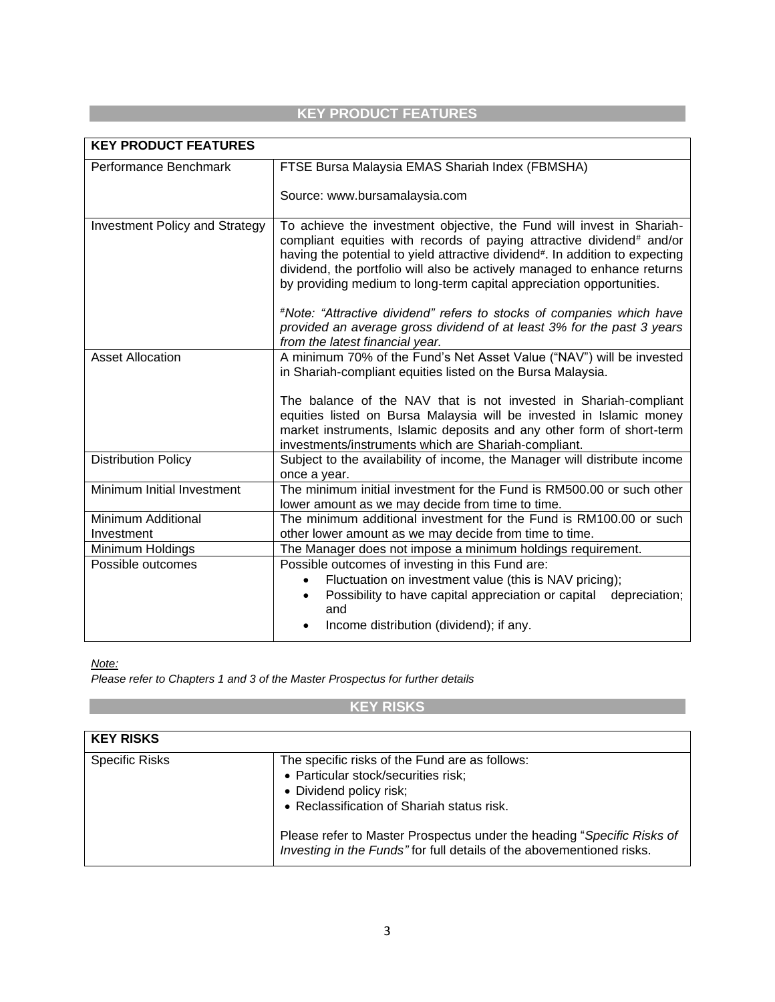# **KEY PRODUCT FEATURES**

| <b>KEY PRODUCT FEATURES</b>           |                                                                                                                                                                                                                                                                                                                                                                                    |
|---------------------------------------|------------------------------------------------------------------------------------------------------------------------------------------------------------------------------------------------------------------------------------------------------------------------------------------------------------------------------------------------------------------------------------|
| Performance Benchmark                 | FTSE Bursa Malaysia EMAS Shariah Index (FBMSHA)                                                                                                                                                                                                                                                                                                                                    |
|                                       | Source: www.bursamalaysia.com                                                                                                                                                                                                                                                                                                                                                      |
| <b>Investment Policy and Strategy</b> | To achieve the investment objective, the Fund will invest in Shariah-<br>compliant equities with records of paying attractive dividend# and/or<br>having the potential to yield attractive dividend#. In addition to expecting<br>dividend, the portfolio will also be actively managed to enhance returns<br>by providing medium to long-term capital appreciation opportunities. |
|                                       | #Note: "Attractive dividend" refers to stocks of companies which have<br>provided an average gross dividend of at least 3% for the past 3 years<br>from the latest financial year.                                                                                                                                                                                                 |
| <b>Asset Allocation</b>               | A minimum 70% of the Fund's Net Asset Value ("NAV") will be invested<br>in Shariah-compliant equities listed on the Bursa Malaysia.                                                                                                                                                                                                                                                |
|                                       | The balance of the NAV that is not invested in Shariah-compliant<br>equities listed on Bursa Malaysia will be invested in Islamic money<br>market instruments, Islamic deposits and any other form of short-term<br>investments/instruments which are Shariah-compliant.                                                                                                           |
| <b>Distribution Policy</b>            | Subject to the availability of income, the Manager will distribute income<br>once a year.                                                                                                                                                                                                                                                                                          |
| Minimum Initial Investment            | The minimum initial investment for the Fund is RM500.00 or such other<br>lower amount as we may decide from time to time.                                                                                                                                                                                                                                                          |
| Minimum Additional<br>Investment      | The minimum additional investment for the Fund is RM100.00 or such<br>other lower amount as we may decide from time to time.                                                                                                                                                                                                                                                       |
| Minimum Holdings                      | The Manager does not impose a minimum holdings requirement.                                                                                                                                                                                                                                                                                                                        |
| Possible outcomes                     | Possible outcomes of investing in this Fund are:<br>Fluctuation on investment value (this is NAV pricing);<br>$\bullet$<br>Possibility to have capital appreciation or capital depreciation;<br>$\bullet$<br>and<br>Income distribution (dividend); if any.                                                                                                                        |

*Note:*

*Please refer to Chapters 1 and 3 of the Master Prospectus for further details*

**KEY RISKS**

| <b>KEY RISKS</b>      |                                                                                                                                                                                                                                                                                                                   |
|-----------------------|-------------------------------------------------------------------------------------------------------------------------------------------------------------------------------------------------------------------------------------------------------------------------------------------------------------------|
| <b>Specific Risks</b> | The specific risks of the Fund are as follows:<br>• Particular stock/securities risk;<br>• Dividend policy risk;<br>• Reclassification of Shariah status risk.<br>Please refer to Master Prospectus under the heading "Specific Risks of<br>Investing in the Funds" for full details of the abovementioned risks. |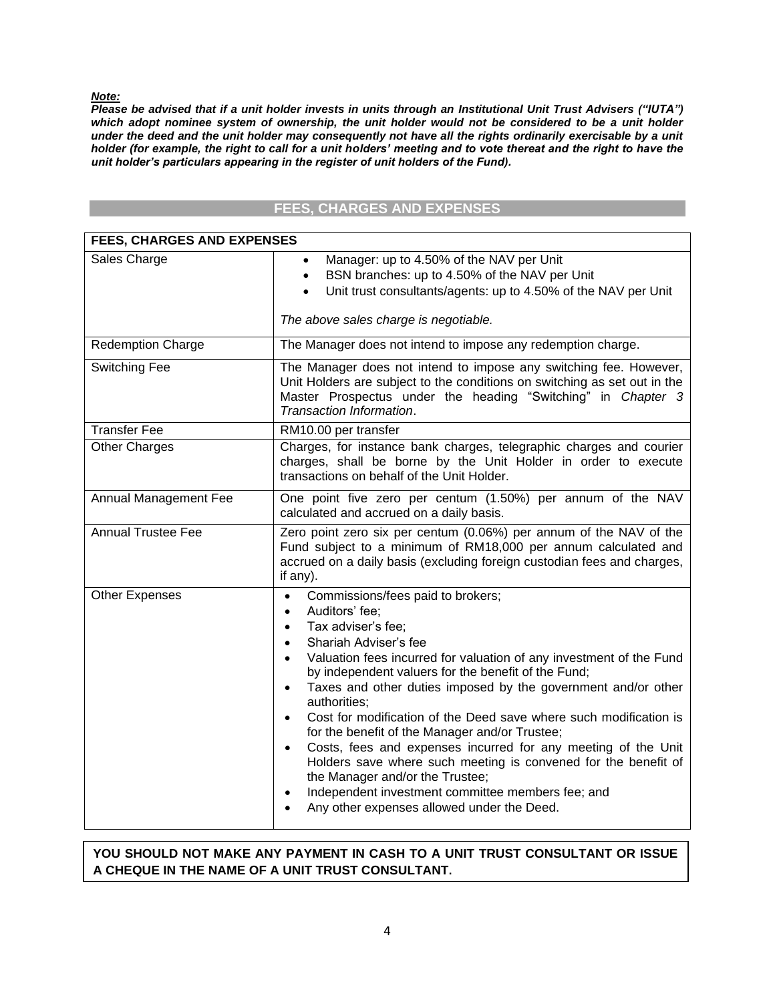*Note:*

*Please be advised that if a unit holder invests in units through an Institutional Unit Trust Advisers ("IUTA") which adopt nominee system of ownership, the unit holder would not be considered to be a unit holder under the deed and the unit holder may consequently not have all the rights ordinarily exercisable by a unit holder (for example, the right to call for a unit holders' meeting and to vote thereat and the right to have the unit holder's particulars appearing in the register of unit holders of the Fund).*

# **FEES, CHARGES AND EXPENSES**

| <b>FEES, CHARGES AND EXPENSES</b> |                                                                                                                                                                                                                                                                                                                                                                                                                                                                                                                                                                                                                                                                                                                                                                                                                                                     |
|-----------------------------------|-----------------------------------------------------------------------------------------------------------------------------------------------------------------------------------------------------------------------------------------------------------------------------------------------------------------------------------------------------------------------------------------------------------------------------------------------------------------------------------------------------------------------------------------------------------------------------------------------------------------------------------------------------------------------------------------------------------------------------------------------------------------------------------------------------------------------------------------------------|
| Sales Charge                      | Manager: up to 4.50% of the NAV per Unit<br>BSN branches: up to 4.50% of the NAV per Unit<br>$\bullet$<br>Unit trust consultants/agents: up to 4.50% of the NAV per Unit<br>The above sales charge is negotiable.                                                                                                                                                                                                                                                                                                                                                                                                                                                                                                                                                                                                                                   |
| <b>Redemption Charge</b>          | The Manager does not intend to impose any redemption charge.                                                                                                                                                                                                                                                                                                                                                                                                                                                                                                                                                                                                                                                                                                                                                                                        |
| Switching Fee                     | The Manager does not intend to impose any switching fee. However,<br>Unit Holders are subject to the conditions on switching as set out in the<br>Master Prospectus under the heading "Switching" in Chapter 3<br>Transaction Information.                                                                                                                                                                                                                                                                                                                                                                                                                                                                                                                                                                                                          |
| <b>Transfer Fee</b>               | RM10.00 per transfer                                                                                                                                                                                                                                                                                                                                                                                                                                                                                                                                                                                                                                                                                                                                                                                                                                |
| <b>Other Charges</b>              | Charges, for instance bank charges, telegraphic charges and courier<br>charges, shall be borne by the Unit Holder in order to execute<br>transactions on behalf of the Unit Holder.                                                                                                                                                                                                                                                                                                                                                                                                                                                                                                                                                                                                                                                                 |
| Annual Management Fee             | One point five zero per centum (1.50%) per annum of the NAV<br>calculated and accrued on a daily basis.                                                                                                                                                                                                                                                                                                                                                                                                                                                                                                                                                                                                                                                                                                                                             |
| <b>Annual Trustee Fee</b>         | Zero point zero six per centum (0.06%) per annum of the NAV of the<br>Fund subject to a minimum of RM18,000 per annum calculated and<br>accrued on a daily basis (excluding foreign custodian fees and charges,<br>if any).                                                                                                                                                                                                                                                                                                                                                                                                                                                                                                                                                                                                                         |
| <b>Other Expenses</b>             | Commissions/fees paid to brokers;<br>$\bullet$<br>Auditors' fee;<br>$\bullet$<br>Tax adviser's fee;<br>$\bullet$<br>Shariah Adviser's fee<br>$\bullet$<br>Valuation fees incurred for valuation of any investment of the Fund<br>$\bullet$<br>by independent valuers for the benefit of the Fund;<br>Taxes and other duties imposed by the government and/or other<br>$\bullet$<br>authorities;<br>Cost for modification of the Deed save where such modification is<br>$\bullet$<br>for the benefit of the Manager and/or Trustee;<br>Costs, fees and expenses incurred for any meeting of the Unit<br>$\bullet$<br>Holders save where such meeting is convened for the benefit of<br>the Manager and/or the Trustee;<br>Independent investment committee members fee; and<br>$\bullet$<br>Any other expenses allowed under the Deed.<br>$\bullet$ |

# **YOU SHOULD NOT MAKE ANY PAYMENT IN CASH TO A UNIT TRUST CONSULTANT OR ISSUE A CHEQUE IN THE NAME OF A UNIT TRUST CONSULTANT.**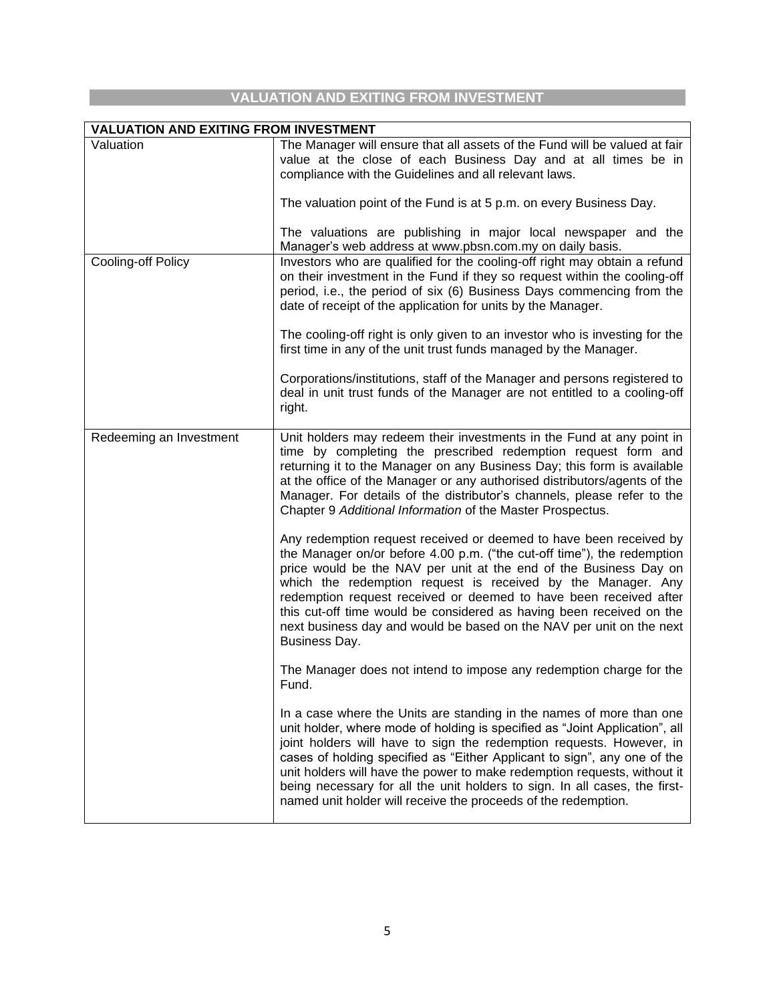# **VALUATION AND EXITING FROM INVESTMENT**

| <b>VALUATION AND EXITING FROM INVESTMENT</b> |                                                                                                                                                                                                                                                                                                                                                                                                                                                                                                                                     |
|----------------------------------------------|-------------------------------------------------------------------------------------------------------------------------------------------------------------------------------------------------------------------------------------------------------------------------------------------------------------------------------------------------------------------------------------------------------------------------------------------------------------------------------------------------------------------------------------|
| Valuation                                    | The Manager will ensure that all assets of the Fund will be valued at fair<br>value at the close of each Business Day and at all times be in<br>compliance with the Guidelines and all relevant laws.                                                                                                                                                                                                                                                                                                                               |
|                                              | The valuation point of the Fund is at 5 p.m. on every Business Day.                                                                                                                                                                                                                                                                                                                                                                                                                                                                 |
|                                              | The valuations are publishing in major local newspaper and the<br>Manager's web address at www.pbsn.com.my on daily basis.                                                                                                                                                                                                                                                                                                                                                                                                          |
| Cooling-off Policy                           | Investors who are qualified for the cooling-off right may obtain a refund<br>on their investment in the Fund if they so request within the cooling-off<br>period, i.e., the period of six (6) Business Days commencing from the<br>date of receipt of the application for units by the Manager.                                                                                                                                                                                                                                     |
|                                              | The cooling-off right is only given to an investor who is investing for the<br>first time in any of the unit trust funds managed by the Manager.                                                                                                                                                                                                                                                                                                                                                                                    |
|                                              | Corporations/institutions, staff of the Manager and persons registered to<br>deal in unit trust funds of the Manager are not entitled to a cooling-off<br>right.                                                                                                                                                                                                                                                                                                                                                                    |
| Redeeming an Investment                      | Unit holders may redeem their investments in the Fund at any point in<br>time by completing the prescribed redemption request form and<br>returning it to the Manager on any Business Day; this form is available<br>at the office of the Manager or any authorised distributors/agents of the<br>Manager. For details of the distributor's channels, please refer to the<br>Chapter 9 Additional Information of the Master Prospectus.                                                                                             |
|                                              | Any redemption request received or deemed to have been received by<br>the Manager on/or before 4.00 p.m. ("the cut-off time"), the redemption<br>price would be the NAV per unit at the end of the Business Day on<br>which the redemption request is received by the Manager. Any<br>redemption request received or deemed to have been received after<br>this cut-off time would be considered as having been received on the<br>next business day and would be based on the NAV per unit on the next<br>Business Day.            |
|                                              | The Manager does not intend to impose any redemption charge for the<br>Fund.                                                                                                                                                                                                                                                                                                                                                                                                                                                        |
|                                              | In a case where the Units are standing in the names of more than one<br>unit holder, where mode of holding is specified as "Joint Application", all<br>joint holders will have to sign the redemption requests. However, in<br>cases of holding specified as "Either Applicant to sign", any one of the<br>unit holders will have the power to make redemption requests, without it<br>being necessary for all the unit holders to sign. In all cases, the first-<br>named unit holder will receive the proceeds of the redemption. |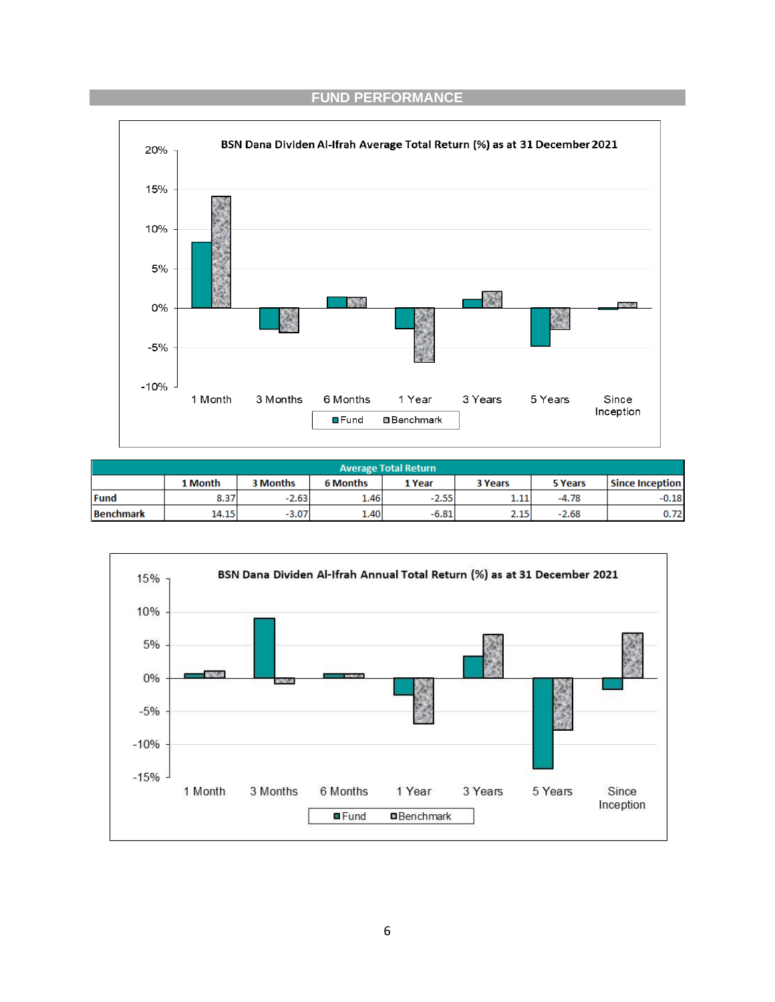# **FUND PERFORMANCE**



| <b>Average Total Return</b> |                                                                                      |         |      |         |                        |         |         |
|-----------------------------|--------------------------------------------------------------------------------------|---------|------|---------|------------------------|---------|---------|
|                             | 3 Months<br>1 Month<br><b>6 Months</b><br>1 Year<br><b>3 Years</b><br><b>5 Years</b> |         |      |         | <b>Since Inception</b> |         |         |
| <b>Fund</b>                 | 8.37                                                                                 | $-2.63$ | 1.46 | $-2.55$ | 1.11                   | $-4.78$ | $-0.18$ |
| <b>Benchmark</b>            | 14.15                                                                                | $-3.07$ | 1.40 | $-6.81$ | 2.15                   | $-2.68$ | 0.72    |

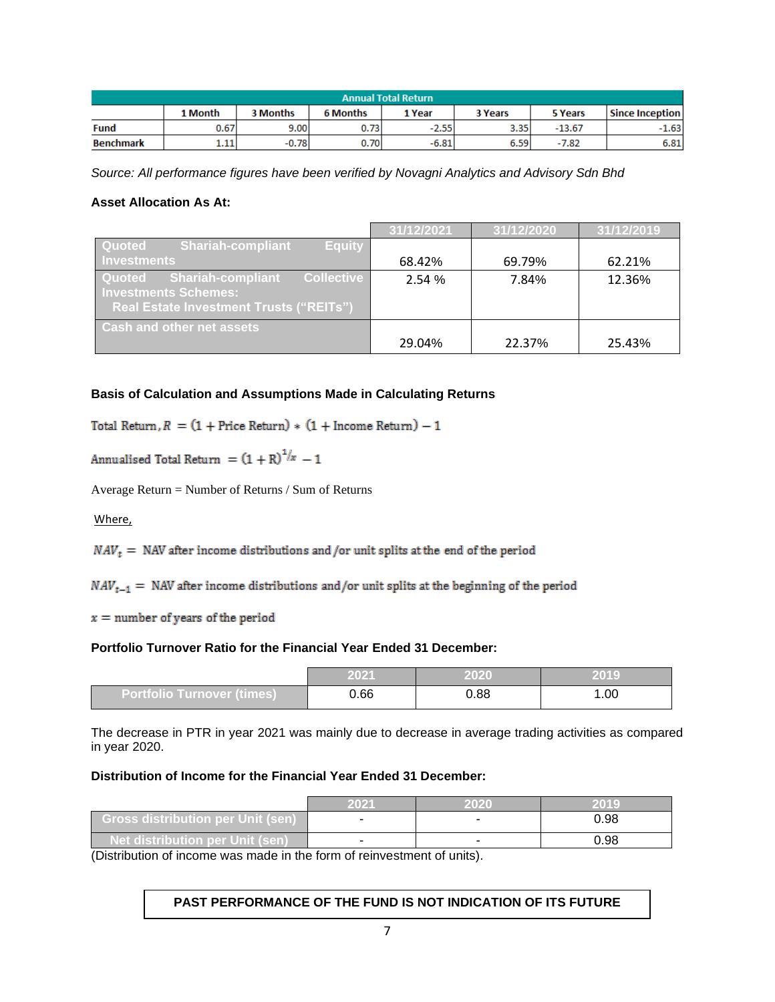| <b>Annual Total Return</b> |                                                                               |         |      |         |      |          |                 |
|----------------------------|-------------------------------------------------------------------------------|---------|------|---------|------|----------|-----------------|
|                            | 3 Months<br><b>6 Months</b><br>1 Month<br>1 Year<br><b>3 Years</b><br>5 Years |         |      |         |      |          | Since Inception |
| <b>Fund</b>                | 0.67                                                                          | 9.00    | 0.73 | $-2.55$ | 3.35 | $-13.67$ | $-1.63$         |
| <b>Benchmark</b>           | 1.11                                                                          | $-0.78$ | 0.70 | $-6.81$ | 6.59 | $-7.82$  | 6.81            |

*Source: All performance figures have been verified by Novagni Analytics and Advisory Sdn Bhd*

### **Asset Allocation As At:**

|                                                                                                                                          | 31/12/2021 | 31/12/2020 | 31/12/2019 |
|------------------------------------------------------------------------------------------------------------------------------------------|------------|------------|------------|
| Quoted<br><b>Shariah-compliant</b><br><b>Equity</b>                                                                                      |            |            |            |
| <b>Investments</b>                                                                                                                       | 68.42%     | 69.79%     | 62.21%     |
| <b>Collective</b><br><b>Shariah-compliant</b><br>Quoted<br><b>Investments Schemes:</b><br><b>Real Estate Investment Trusts ("REITs")</b> | 2.54%      | 7.84%      | 12.36%     |
| <b>Cash and other net assets</b>                                                                                                         | 29.04%     | 22.37%     | 25.43%     |

### **Basis of Calculation and Assumptions Made in Calculating Returns**

Total Return,  $R = (1 + \text{Price Return}) * (1 + \text{ Income Return}) - 1$ 

Annualised Total Return =  $(1 + R)^{1/x} - 1$ 

Average Return = Number of Returns / Sum of Returns

#### Where,

 $NAV_t$  = NAV after income distributions and /or unit splits at the end of the period

 $NAV_{t-1}$  = NAV after income distributions and/or unit splits at the beginning of the period

 $x =$  number of years of the period

#### **Portfolio Turnover Ratio for the Financial Year Ended 31 December:**

|                              | 2021 | 2020 | 2019  |
|------------------------------|------|------|-------|
| / Portfolio Turnover (times) | 0.66 | 0.88 | . .00 |

The decrease in PTR in year 2021 was mainly due to decrease in average trading activities as compared in year 2020.

### **Distribution of Income for the Financial Year Ended 31 December:**

|                                          | 2021 | 2020 | 2019 |
|------------------------------------------|------|------|------|
| <b>Gross distribution per Unit (sen)</b> |      |      | 0.98 |
| <b>Net distribution per Unit (sen)</b>   |      |      | 0.98 |

(Distribution of income was made in the form of reinvestment of units).

### **PAST PERFORMANCE OF THE FUND IS NOT INDICATION OF ITS FUTURE**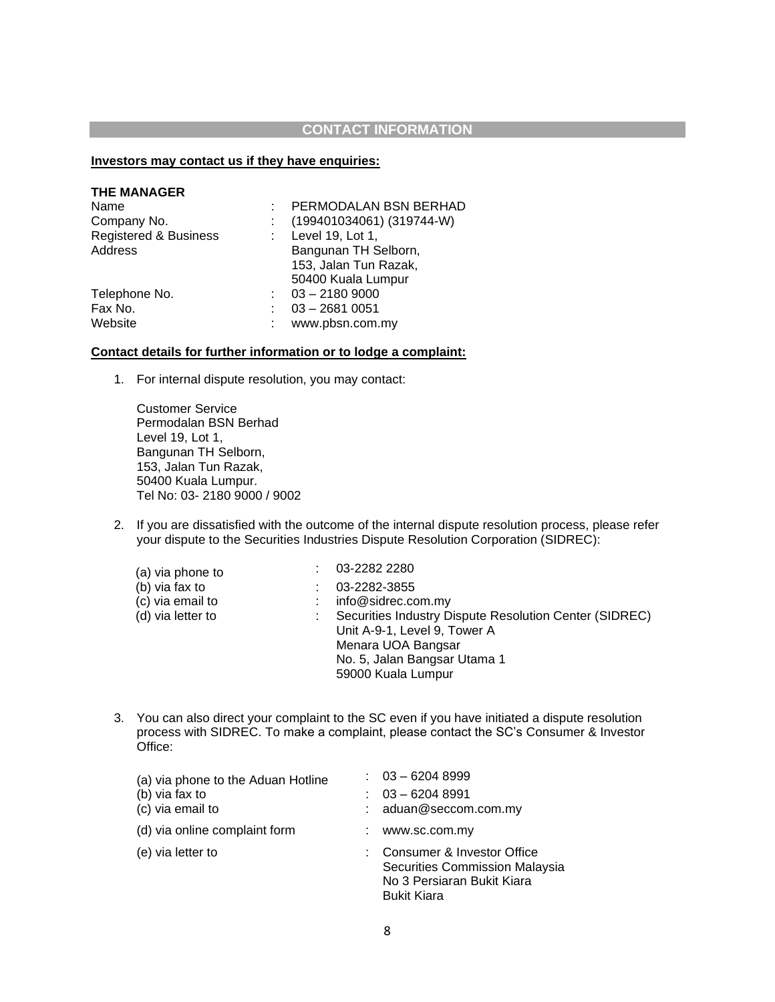### **CONTACT INFORMATION**

#### **Investors may contact us if they have enquiries:**

| <b>THE MANAGER</b>    |                           |
|-----------------------|---------------------------|
| Name                  | PERMODALAN BSN BERHAD     |
| Company No.           | (199401034061) (319744-W) |
| Registered & Business | : Level 19, Lot 1,        |
| Address               | Bangunan TH Selborn,      |
|                       | 153, Jalan Tun Razak,     |
|                       | 50400 Kuala Lumpur        |
| Telephone No.         | $1.03 - 21809000$         |
| Fax No.               | $03 - 26810051$           |
| Website               | www.pbsn.com.my           |
|                       |                           |

#### **Contact details for further information or to lodge a complaint:**

1. For internal dispute resolution, you may contact:

Customer Service Permodalan BSN Berhad Level 19, Lot 1, Bangunan TH Selborn, 153, Jalan Tun Razak, 50400 Kuala Lumpur. Tel No: 03- 2180 9000 / 9002

2. If you are dissatisfied with the outcome of the internal dispute resolution process, please refer your dispute to the Securities Industries Dispute Resolution Corporation (SIDREC):

| (a) via phone to  | 03-2282 2280                                           |
|-------------------|--------------------------------------------------------|
| (b) via fax to    | 03-2282-3855                                           |
| (c) via email to  | info@sidrec.com.my                                     |
| (d) via letter to | Securities Industry Dispute Resolution Center (SIDREC) |
|                   | Unit A-9-1, Level 9, Tower A                           |
|                   | Menara UOA Bangsar                                     |
|                   | No. 5, Jalan Bangsar Utama 1                           |
|                   | 59000 Kuala Lumpur                                     |

3. You can also direct your complaint to the SC even if you have initiated a dispute resolution process with SIDREC. To make a complaint, please contact the SC's Consumer & Investor Office:

| (a) via phone to the Aduan Hotline | $: 03 - 62048999$                                                                                                  |
|------------------------------------|--------------------------------------------------------------------------------------------------------------------|
| (b) via fax to                     | $03 - 62048991$                                                                                                    |
| (c) via email to                   | aduan@seccom.com.my                                                                                                |
| (d) via online complaint form      | www.sc.com.my                                                                                                      |
| (e) via letter to                  | : Consumer & Investor Office<br>Securities Commission Malaysia<br>No 3 Persiaran Bukit Kiara<br><b>Bukit Kiara</b> |